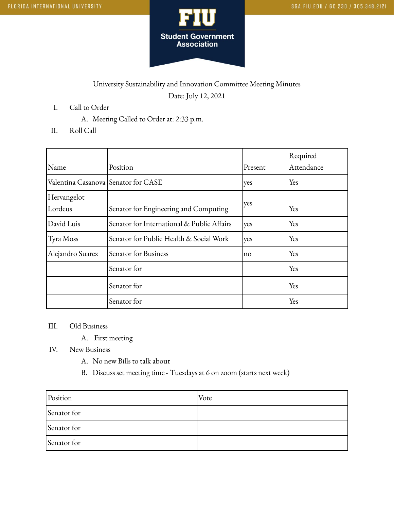

## University Sustainability and Innovation Committee Meeting Minutes Date: July 12, 2021

- I. Call to Order
	- A. Meeting Called to Order at: 2:33 p.m.
- II. Roll Call

|                                     |                                            |         | Required   |
|-------------------------------------|--------------------------------------------|---------|------------|
| Name                                | Position                                   | Present | Attendance |
| Valentina Casanova Senator for CASE |                                            | yes     | Yes        |
| Hervangelot                         |                                            |         |            |
| Lordeus                             | Senator for Engineering and Computing      | yes     | Yes        |
| David Luis                          | Senator for International & Public Affairs | yes     | Yes        |
| Tyra Moss                           | Senator for Public Health & Social Work    | yes     | Yes        |
| Alejandro Suarez                    | Senator for Business                       | no      | Yes        |
|                                     | Senator for                                |         | Yes        |
|                                     | Senator for                                |         | Yes        |
|                                     | Senator for                                |         | Yes        |

III. Old Business

- A. First meeting
- IV. New Business
	- A. No new Bills to talk about
	- B. Discuss set meeting time Tuesdays at 6 on zoom (starts next week)

| Position    | Vote |
|-------------|------|
| Senator for |      |
| Senator for |      |
| Senator for |      |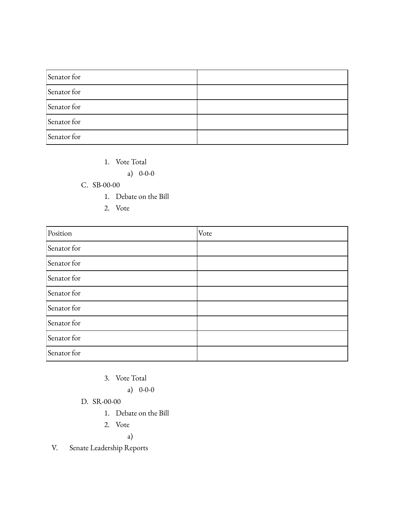| Senator for |  |
|-------------|--|
| Senator for |  |
| Senator for |  |
| Senator for |  |
| Senator for |  |

1. Vote Total

a) 0-0-0

## C. SB-00-00

- 1. Debate on the Bill
- 2. Vote

| Position    | Vote |
|-------------|------|
| Senator for |      |
| Senator for |      |
| Senator for |      |
| Senator for |      |
| Senator for |      |
| Senator for |      |
| Senator for |      |
| Senator for |      |

3. Vote Total

a) 0-0-0

## D. SR-00-00

- 1. Debate on the Bill
- 2. Vote

a)

V. Senate Leadership Reports